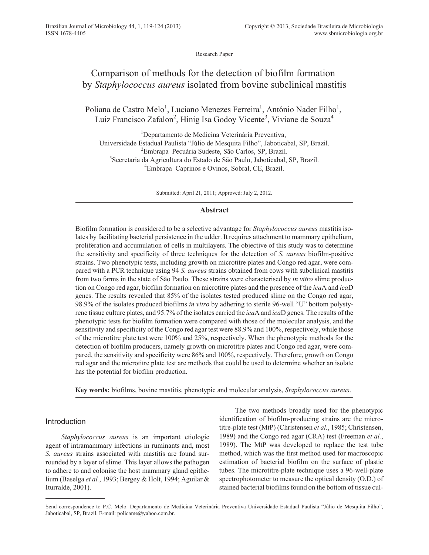Research Paper

# Comparison of methods for the detection of biofilm formation by *Staphylococcus aureus* isolated from bovine subclinical mastitis

Poliana de Castro Melo<sup>1</sup>, Luciano Menezes Ferreira<sup>1</sup>, Antônio Nader Filho<sup>1</sup>, Luiz Francisco Zafalon<sup>2</sup>, Hinig Isa Godoy Vicente<sup>3</sup>, Viviane de Souza<sup>4</sup>

<sup>1</sup>Departamento de Medicina Veterinária Preventiva, Universidade Estadual Paulista "Júlio de Mesquita Filho", Jaboticabal, SP, Brazil. 2 Embrapa Pecuária Sudeste, São Carlos, SP, Brazil. 3 Secretaria da Agricultura do Estado de São Paulo, Jaboticabal, SP, Brazil. 4 Embrapa Caprinos e Ovinos, Sobral, CE, Brazil.

Submitted: April 21, 2011; Approved: July 2, 2012.

# **Abstract**

Biofilm formation is considered to be a selective advantage for *Staphylococcus aureus* mastitis isolates by facilitating bacterial persistence in the udder. It requires attachment to mammary epithelium, proliferation and accumulation of cells in multilayers. The objective of this study was to determine the sensitivity and specificity of three techniques for the detection of *S. aureus* biofilm-positive strains. Two phenotypic tests, including growth on microtitre plates and Congo red agar, were compared with a PCR technique using 94 *S. aureus* strains obtained from cows with subclinical mastitis from two farms in the state of São Paulo. These strains were characterised by *in vitro* slime production on Congo red agar, biofilm formation on microtitre plates and the presence of the *ica*A and *ica*D genes. The results revealed that 85% of the isolates tested produced slime on the Congo red agar, 98.9% of the isolates produced biofilms *in vitro* by adhering to sterile 96-well "U" bottom polystyrene tissue culture plates, and 95.7% of the isolates carried the *ica*A and *ica*D genes. The results of the phenotypic tests for biofilm formation were compared with those of the molecular analysis, and the sensitivity and specificity of the Congo red agar test were 88.9% and 100%, respectively, while those of the microtitre plate test were 100% and 25%, respectively. When the phenotypic methods for the detection of biofilm producers, namely growth on microtitre plates and Congo red agar, were compared, the sensitivity and specificity were 86% and 100%, respectively. Therefore, growth on Congo red agar and the microtitre plate test are methods that could be used to determine whether an isolate has the potential for biofilm production.

**Key words:** biofilms, bovine mastitis, phenotypic and molecular analysis, *Staphylococcus aureus*.

# Introduction

*Staphylococcus aureus* is an important etiologic agent of intramammary infections in ruminants and, most *S. aureus* strains associated with mastitis are found surrounded by a layer of slime. This layer allows the pathogen to adhere to and colonise the host mammary gland epithelium (Baselga *et al.*, 1993; Bergey & Holt, 1994; Aguilar & Iturralde, 2001).

The two methods broadly used for the phenotypic identification of biofilm-producing strains are the microtitre-plate test (MtP) (Christensen *et al.*, 1985; Christensen, 1989) and the Congo red agar (CRA) test (Freeman *et al.*, 1989). The MtP was developed to replace the test tube method, which was the first method used for macroscopic estimation of bacterial biofilm on the surface of plastic tubes. The microtitre-plate technique uses a 96-well-plate spectrophotometer to measure the optical density (O.D.) of stained bacterial biofilms found on the bottom of tissue cul-

Send correspondence to P.C. Melo. Departamento de Medicina Veterinária Preventiva Universidade Estadual Paulista "Júlio de Mesquita Filho", Jaboticabal, SP, Brazil. E-mail: policame@yahoo.com.br.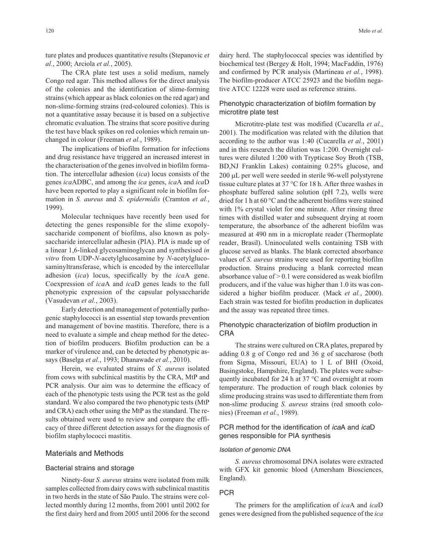ture plates and produces quantitative results (Stepanovic *et al.*, 2000; Arciola *et al.*, 2005).

The CRA plate test uses a solid medium, namely Congo red agar. This method allows for the direct analysis of the colonies and the identification of slime-forming strains (which appear as black colonies on the red agar) and non-slime-forming strains (red-coloured colonies). This is not a quantitative assay because it is based on a subjective chromatic evaluation. The strains that score positive during the test have black spikes on red colonies which remain unchanged in colour (Freeman *et al.*, 1989).

The implications of biofilm formation for infections and drug resistance have triggered an increased interest in the characterisation of the genes involved in biofilm formation. The intercellular adhesion (*ica*) locus consists of the genes *ica*ADBC, and among the *ica* genes, *ica*A and *ica*D have been reported to play a significant role in biofilm formation in *S. aureus* and *S. epidermidis* (Cramton *et al.*, 1999).

Molecular techniques have recently been used for detecting the genes responsible for the slime exopolysaccharide component of biofilms, also known as polysaccharide intercellular adhesin (PIA). PIA is made up of a linear 1,6-linked glycosaminoglycan and synthesised *in vitro* from UDP-*N*-acetylglucosamine by *N*-acetylglucosaminyltransferase, which is encoded by the intercellular adhesion (*ica*) locus, specifically by the *ica*A gene. Coexpression of *ica*A and *ica*D genes leads to the full phenotypic expression of the capsular polysaccharide (Vasudevan *et al.*, 2003).

Early detection and management of potentially pathogenic staphylococci is an essential step towards prevention and management of bovine mastitis. Therefore, there is a need to evaluate a simple and cheap method for the detection of biofilm producers. Biofilm production can be a marker of virulence and, can be detected by phenotypic assays (Baselga *et al.*, 1993; Dhanawade *et al.*, 2010).

Herein, we evaluated strains of *S. aureus* isolated from cows with subclinical mastitis by the CRA, MtP and PCR analysis. Our aim was to determine the efficacy of each of the phenotypic tests using the PCR test as the gold standard. We also compared the two phenotypic tests (MtP and CRA) each other using the MtP as the standard. The results obtained were used to review and compare the efficacy of three different detection assays for the diagnosis of biofilm staphylococci mastitis.

#### Materials and Methods

#### Bacterial strains and storage

Ninety-four *S. aureus* strains were isolated from milk samples collected from dairy cows with subclinical mastitis in two herds in the state of São Paulo. The strains were collected monthly during 12 months, from 2001 until 2002 for the first dairy herd and from 2005 until 2006 for the second dairy herd. The staphylococcal species was identified by biochemical test (Bergey & Holt, 1994; MacFaddin, 1976) and confirmed by PCR analysis (Martineau *et al.*, 1998). The biofilm-producer ATCC 25923 and the biofilm negative ATCC 12228 were used as reference strains.

# Phenotypic characterization of biofilm formation by microtitre plate test

Microtitre-plate test was modified (Cucarella *et al.*, 2001). The modification was related with the dilution that according to the author was 1:40 (Cucarella *et al.*, 2001) and in this research the dilution was 1:200. Overnight cultures were diluted 1:200 with Trypticase Soy Broth (TSB, BD,NJ Franklin Lakes) containing 0.25% glucose, and 200 µL per well were seeded in sterile 96-well polystyrene tissue culture plates at 37 °C for 18 h. After three washes in phosphate buffered saline solution (pH 7.2), wells were dried for 1 h at 60 °C and the adherent biofilms were stained with 1% crystal violet for one minute. After rinsing three times with distilled water and subsequent drying at room temperature, the absorbance of the adherent biofilm was measured at 490 nm in a microplate reader (Thermoplate reader, Brasil). Uninoculated wells containing TSB with glucose served as blanks. The blank corrected absorbance values of *S. aureus* strains were used for reporting biofilm production. Strains producing a blank corrected mean absorbance value of > 0.1 were considered as weak biofilm producers, and if the value was higher than 1.0 its was considered a higher biofilm producer. (Mack *et al.*, 2000). Each strain was tested for biofilm production in duplicates and the assay was repeated three times.

# Phenotypic characterization of biofilm production in CRA

The strains were cultured on CRA plates, prepared by adding 0.8 g of Congo red and 36 g of saccharose (both from Sigma, Missouri, EUA) to 1 L of BHI (Oxoid, Basingstoke, Hampshire, England). The plates were subsequently incubated for 24 h at 37 °C and overnight at room temperature. The production of rough black colonies by slime producing strains was used to differentiate them from non-slime producing *S. aureus* strains (red smooth colonies) (Freeman *et al.*, 1989).

# PCR method for the identification of *ica*A and *ica*D genes responsible for PIA synthesis

#### Isolation of genomic DNA

*S. aureus* chromosomal DNA isolates were extracted with GFX kit genomic blood (Amersham Biosciences, England).

## PCR

The primers for the amplification of *ica*A and *ica*D genes were designed from the published sequence of the *ica*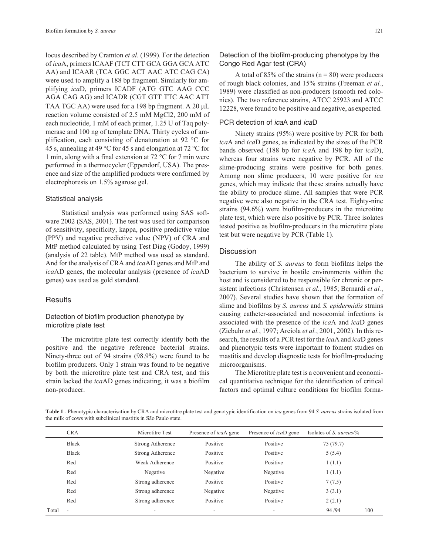locus described by Cramton *et al.* (1999). For the detection of *ica*A, primers ICAAF (TCT CTT GCA GGA GCA ATC AA) and ICAAR (TCA GGC ACT AAC ATC CAG CA) were used to amplify a 188 bp fragment. Similarly for amplifying *ica*D, primers ICADF (ATG GTC AAG CCC AGA CAG AG) and ICADR (CGT GTT TTC AAC ATT TAA TGC AA) were used for a 198 bp fragment. A 20  $\mu$ L reaction volume consisted of 2.5 mM MgCl2, 200 mM of each nucleotide, 1 mM of each primer, 1.25 U of Taq polymerase and 100 ng of template DNA. Thirty cycles of amplification, each consisting of denaturation at 92 °C for 45 s, annealing at 49 °C for 45 s and elongation at 72 °C for 1 min, along with a final extension at 72 °C for 7 min were performed in a thermocycler (Eppendorf, USA). The presence and size of the amplified products were confirmed by electrophoresis on 1.5% agarose gel.

#### Statistical analysis

Statistical analysis was performed using SAS software 2002 (SAS, 2001). The test was used for comparison of sensitivity, specificity, kappa, positive predictive value (PPV) and negative predictive value (NPV) of CRA and MtP method calculated by using Test Diag (Godoy, 1999) (analysis of 22 table). MtP method was used as standard. And for the analysis of CRA and *ica*AD genes and MtP and *ica*AD genes, the molecular analysis (presence of *ica*AD genes) was used as gold standard.

## **Results**

## Detection of biofilm production phenotype by microtitre plate test

The microtitre plate test correctly identify both the positive and the negative reference bacterial strains. Ninety-three out of 94 strains (98.9%) were found to be biofilm producers. Only 1 strain was found to be negative by both the microtitre plate test and CRA test, and this strain lacked the *ica*AD genes indicating, it was a biofilm non-producer.

# Detection of the biofilm-producing phenotype by the Congo Red Agar test (CRA)

A total of 85% of the strains ( $n = 80$ ) were producers of rough black colonies, and 15% strains (Freeman *et al.*, 1989) were classified as non-producers (smooth red colonies). The two reference strains, ATCC 25923 and ATCC 12228, were found to be positive and negative, as expected.

#### PCR detection of *ica*A and *ica*D

Ninety strains (95%) were positive by PCR for both *ica*A and *ica*D genes, as indicated by the sizes of the PCR bands observed (188 bp for *ica*A and 198 bp for *ica*D), whereas four strains were negative by PCR. All of the slime-producing strains were positive for both genes. Among non slime producers, 10 were positive for *ica* genes, which may indicate that these strains actually have the ability to produce slime. All samples that were PCR negative were also negative in the CRA test. Eighty-nine strains (94.6%) were biofilm-producers in the microtitre plate test, which were also positive by PCR*.* Three isolates tested positive as biofilm-producers in the microtitre plate test but were negative by PCR (Table 1).

#### **Discussion**

The ability of *S. aureus* to form biofilms helps the bacterium to survive in hostile environments within the host and is considered to be responsible for chronic or persistent infections (Christensen *et al.*, 1985; Bernardi *et al.*, 2007). Several studies have shown that the formation of slime and biofilms by *S. aureus* and *S. epidermidis* strains causing catheter-associated and nosocomial infections is associated with the presence of the *ica*A and *ica*D genes (Ziebuhr *et al.*, 1997; Arciola *et al.*, 2001, 2002). In this research, the results of a PCR test for the *ica*A and *ica*D genes and phenotypic tests were important to foment studies on mastitis and develop diagnostic tests for biofilm-producing microorganisms.

The Microtitre plate test is a convenient and economical quantitative technique for the identification of critical factors and optimal culture conditions for biofilm forma-

**Table 1** - Phenotypic characterisation by CRA and microtitre plate test and genotypic identification on *ica* genes from 94 *S. aureus* strains isolated from the milk of cows with subclinical mastitis in São Paulo state.

|       | <b>CRA</b> | Microtitre Test  | Presence of <i>ica</i> A gene | Presence of <i>ica</i> D gene | Isolates of S. <i>aureus</i> / $\%$ |     |
|-------|------------|------------------|-------------------------------|-------------------------------|-------------------------------------|-----|
|       | Black      | Strong Adherence | Positive                      | Positive                      | 75(79.7)                            |     |
|       | Black      | Strong Adherence | Positive                      | Positive                      | 5(5.4)                              |     |
|       | Red        | Weak Adherence   | Positive                      | Positive                      | 1(1.1)                              |     |
|       | Red        | Negative         | Negative                      | Negative                      | 1(1.1)                              |     |
|       | Red        | Strong adherence | Positive                      | Positive                      | 7(7.5)                              |     |
|       | Red        | Strong adherence | Negative                      | Negative                      | 3(3.1)                              |     |
|       | Red        | Strong adherence | Positive                      | Positive                      | 2(2.1)                              |     |
| Total |            | ۰                | ۰                             |                               | 94 / 94                             | 100 |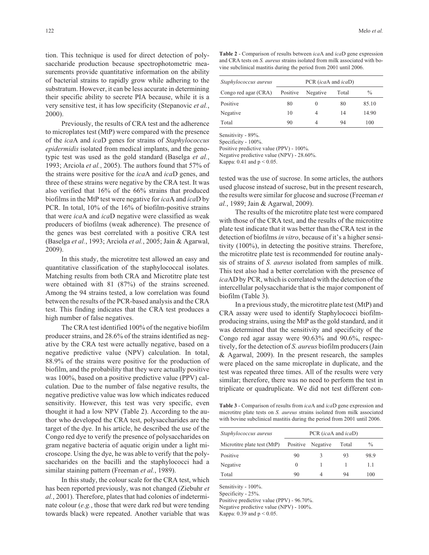tion. This technique is used for direct detection of polysaccharide production because spectrophotometric measurements provide quantitative information on the ability of bacterial strains to rapidly grow while adhering to the substratum. However, it can be less accurate in determining their specific ability to secrete PIA because, while it is a very sensitive test, it has low specificity (Stepanovic *et al.*, 2000).

Previously, the results of CRA test and the adherence to microplates test (MtP) were compared with the presence of the *ica*A and *ica*D genes for strains of *Staphylococcus epidermidis* isolated from medical implants, and the genotypic test was used as the gold standard (Baselga *et al.*, 1993; Arciola *et al.*, 2005). The authors found that 57% of the strains were positive for the *ica*A and *ica*D genes, and three of these strains were negative by the CRA test. It was also verified that 16% of the 66% strains that produced biofilms in the MtP test were negative for *ica*A and *ica*D by PCR. In total, 10% of the 16% of biofilm-positive strains that were *ica*A and *ica*D negative were classified as weak producers of biofilms (weak adherence). The presence of the genes was best correlated with a positive CRA test (Baselga *et al.*, 1993; Arciola *et al.*, 2005; Jain & Agarwal, 2009).

In this study, the microtitre test allowed an easy and quantitative classification of the staphylococcal isolates. Matching results from both CRA and Microtitre plate test were obtained with 81 (87%) of the strains screened. Among the 94 strains tested, a low correlation was found between the results of the PCR-based analysis and the CRA test. This finding indicates that the CRA test produces a high number of false negatives.

The CRA test identified 100% of the negative biofilm producer strains, and 28.6% of the strains identified as negative by the CRA test were actually negative, based on a negative predictive value (NPV) calculation. In total, 88.9% of the strains were positive for the production of biofilm, and the probability that they were actually positive was 100%, based on a positive predictive value (PPV) calculation. Due to the number of false negative results, the negative predictive value was low which indicates reduced sensitivity. However, this test was very specific, even thought it had a low NPV (Table 2). According to the author who developed the CRA test, polysaccharides are the target of the dye. In his article, he described the use of the Congo red dye to verify the presence of polysaccharides on gram negative bacteria of aquatic origin under a light microscope. Using the dye, he was able to verify that the polysaccharides on the bacilli and the staphylococci had a similar staining pattern (Freeman *et al.*, 1989).

In this study, the colour scale for the CRA test, which has been reported previously, was not changed (Ziebuhr *et al.*, 2001). Therefore, plates that had colonies of indeterminate colour (*e.g.*, those that were dark red but were tending towards black) were repeated. Another variable that was

**Table 2** - Comparison of results between *ica*A and *ica*D gene expression and CRA tests on *S. aureus* strains isolated from milk associated with bovine subclinical mastitis during the period from 2001 until 2006.

| Staphylococcus aureus | PCR (icaA and icaD) |          |       |               |
|-----------------------|---------------------|----------|-------|---------------|
| Congo red agar (CRA)  | Positive            | Negative | Total | $\frac{0}{0}$ |
| Positive              | 80                  | $\theta$ | 80    | 85.10         |
| Negative              | 10                  | 4        | 14    | 14.90         |
| Total                 | 90                  | 4        | 94    | 100           |

Sensitivity - 89%.

Specificity - 100%.

Positive predictive value (PPV) - 100%.

Negative predictive value (NPV) - 28.60%.

Kappa:  $0.41$  and  $p < 0.05$ .

tested was the use of sucrose. In some articles, the authors used glucose instead of sucrose, but in the present research, the results were similar for glucose and sucrose (Freeman *et al.*, 1989; Jain & Agarwal, 2009).

The results of the microtitre plate test were compared with those of the CRA test, and the results of the microtitre plate test indicate that it was better than the CRA test in the detection of biofilms *in vitro*, because of it's a higher sensitivity (100%), in detecting the positive strains. Therefore, the microtitre plate test is recommended for routine analysis of strains of *S. aureus* isolated from samples of milk. This test also had a better correlation with the presence of *ica*AD by PCR, which is correlated with the detection of the intercellular polysaccharide that is the major component of biofilm (Table 3).

In a previous study, the microtitre plate test (MtP) and CRA assay were used to identify Staphylococci biofilmproducing strains, using the MtP as the gold standard, and it was determined that the sensitivity and specificity of the Congo red agar assay were 90.63% and 90.6%, respectively, for the detection of *S. aureus* biofilm producers (Jain & Agarwal, 2009). In the present research, the samples were placed on the same microplate in duplicate, and the test was repeated three times. All of the results were very similar; therefore, there was no need to perform the test in triplicate or quadruplicate. We did not test different con-

**Table 3** - Comparison of results from *ica*A and *ica*D gene expression and microtitre plate tests on *S. aureus* strains isolated from milk associated with bovine subclinical mastitis during the period from 2001 until 2006.

| Staphylococcus aureus       | PCR (icaA and icaD) |          |       |               |  |
|-----------------------------|---------------------|----------|-------|---------------|--|
| Microtitre plate test (MtP) | Positive            | Negative | Total | $\frac{0}{0}$ |  |
| Positive                    | 90                  | 3        | 93    | 98.9          |  |
| Negative                    | $\theta$            |          |       | 1.1           |  |
| Total                       | 90                  | 4        | 94    | 100           |  |

Sensitivity - 100%.

Specificity - 25%.

Positive predictive value (PPV) - 96.70%.

Negative predictive value (NPV) - 100%.

Kappa: 0.39 and  $p < 0.05$ .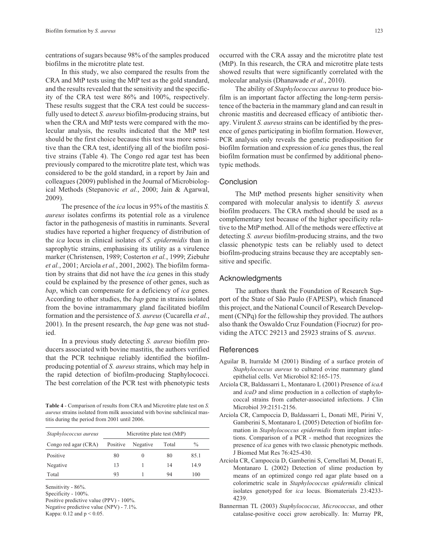centrations of sugars because 98% of the samples produced biofilms in the microtitre plate test.

In this study, we also compared the results from the CRA and MtP tests using the MtP test as the gold standard, and the results revealed that the sensitivity and the specificity of the CRA test were 86% and 100%, respectively. These results suggest that the CRA test could be successfully used to detect *S. aureus* biofilm-producing strains, but when the CRA and MtP tests were compared with the molecular analysis, the results indicated that the MtP test should be the first choice because this test was more sensitive than the CRA test, identifying all of the biofilm positive strains (Table 4). The Congo red agar test has been previously compared to the microtitre plate test, which was considered to be the gold standard, in a report by Jain and colleagues (2009) published in the Journal of Microbiological Methods (Stepanovic *et al.*, 2000; Jain & Agarwal, 2009).

The presence of the *ica* locus in 95% of the mastitis *S. aureus* isolates confirms its potential role as a virulence factor in the pathogenesis of mastitis in ruminants. Several studies have reported a higher frequency of distribution of the *ica* locus in clinical isolates of *S. epidermidis* than in saprophytic strains, emphasising its utility as a virulence marker (Christensen, 1989; Costerton *et al.*, 1999; Ziebuhr *et al.*, 2001; Arciola *et al.*, 2001, 2002). The biofilm formation by strains that did not have the *ica* genes in this study could be explained by the presence of other genes, such as *bap*, which can compensate for a deficiency of *ica* genes. According to other studies, the *bap* gene in strains isolated from the bovine intramammary gland facilitated biofilm formation and the persistence of *S. aureus* (Cucarella *et al.*, 2001). In the present research, the *bap* gene was not studied.

In a previous study detecting *S. aureus* biofilm producers associated with bovine mastitis, the authors verified that the PCR technique reliably identified the biofilmproducing potential of *S. aureus* strains, which may help in the rapid detection of biofilm-producing Staphylococci. The best correlation of the PCR test with phenotypic tests

**Table 4** - Comparison of results from CRA and Microtitre plate test on *S. aureus* strains isolated from milk associated with bovine subclinical mastitis during the period from 2001 until 2006.

| Staphylococcus aureus | Microtitre plate test (MtP) |          |       |               |
|-----------------------|-----------------------------|----------|-------|---------------|
| Congo red agar (CRA)  | Positive                    | Negative | Total | $\frac{0}{0}$ |
| Positive              | 80                          | $\theta$ | 80    | 85.1          |
| Negative              | 13                          |          | 14    | 149           |
| Total                 | 93                          |          | 94    | 100           |

Sensitivity - 86%.

Specificity - 100%.

Positive predictive value (PPV) - 100%.

Negative predictive value (NPV) - 7.1%.

Kappa: 0.12 and  $p < 0.05$ .

occurred with the CRA assay and the microtitre plate test (MtP). In this research, the CRA and microtitre plate tests showed results that were significantly correlated with the molecular analysis (Dhanawade *et al.*, 2010).

The ability of *Staphylococcus aureus* to produce biofilm is an important factor affecting the long-term persistence of the bacteria in the mammary gland and can result in chronic mastitis and decreased efficacy of antibiotic therapy. Virulent *S. aureus* strains can be identified by the presence of genes participating in biofilm formation. However, PCR analysis only reveals the genetic predisposition for biofilm formation and expression of *ica* genes thus, the real biofilm formation must be confirmed by additional phenotypic methods.

## **Conclusion**

The MtP method presents higher sensitivity when compared with molecular analysis to identify *S. aureus* biofilm producers. The CRA method should be used as a complementary test because of the higher specificity relative to the MtP method. All of the methods were effective at detecting *S. aureus* biofilm-producing strains, and the two classic phenotypic tests can be reliably used to detect biofilm-producing strains because they are acceptably sensitive and specific.

#### Acknowledgments

The authors thank the Foundation of Research Support of the State of São Paulo (FAPESP), which financed this project, and the National Council of Research Development (CNPq) for the fellowship they provided. The authors also thank the Oswaldo Cruz Foundation (Fiocruz) for providing the ATCC 29213 and 25923 strains of S*. aureus*.

# **References**

- Aguilar B, Iturralde M (2001) Binding of a surface protein of *Staphylococcus aureus* to cultured ovine mammary gland epithelial cells. Vet Microbiol 82:165-175.
- Arciola CR, Baldassarri L, Montanaro L (2001) Presence of *icaA* and *icaD* and slime production in a collection of staphylococcal strains from catheter-associated infections. J Clin Microbiol 39:2151-2156.
- Arciola CR, Campoccia D, Baldassarri L, Donati ME, Pirini V, Gamberini S, Montanaro L (2005) Detection of biofilm formation in *Staphylococcus epidermidis* from implant infections. Comparison of a PCR - method that recognizes the presence of *ica* genes with two classic phenotypic methods. J Biomed Mat Res 76:425-430.
- Arciola CR, Campoccia D, Gamberini S, Cernellati M, Donati E, Montanaro L (2002) Detection of slime production by means of an optimized congo red agar plate based on a colorimetric scale in *Staphylococcus epidermidis* clinical isolates genotyped for *ica* locus. Biomaterials 23:4233- 4239.
- Bannerman TL (2003) *Staphylococcus, Micrococcus*, and other catalase-positive cocci grow aerobically. In: Murray PR,